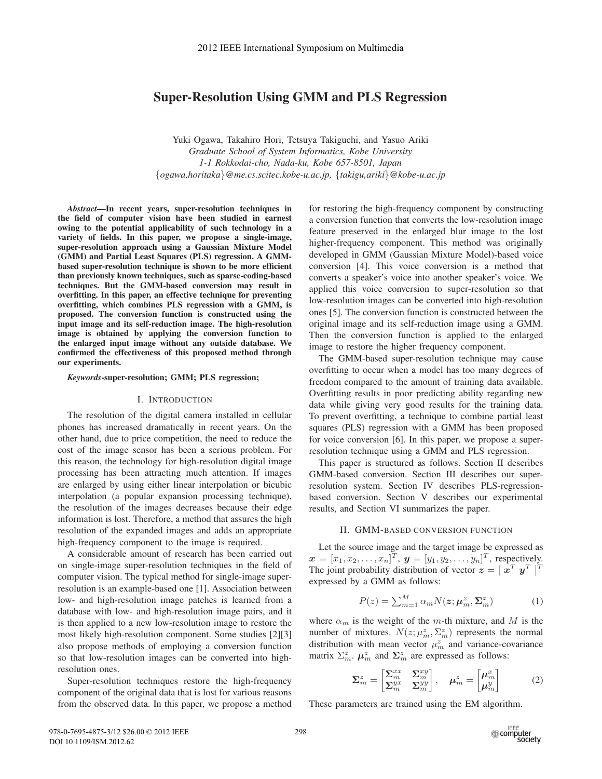# Super-Resolution Using GMM and PLS Regression

Yuki Ogawa, Takahiro Hori, Tetsuya Takiguchi, and Yasuo Ariki *Graduate School of System Informatics, Kobe University 1-1 Rokkodai-cho, Nada-ku, Kobe 657-8501, Japan* {*ogawa,horitaka*}*@me.cs.scitec.kobe-u.ac.jp,* {*takigu,ariki*}*@kobe-u.ac.jp*

*Abstract*—In recent years, super-resolution techniques in the field of computer vision have been studied in earnest owing to the potential applicability of such technology in a variety of fields. In this paper, we propose a single-image, super-resolution approach using a Gaussian Mixture Model (GMM) and Partial Least Squares (PLS) regression. A GMMbased super-resolution technique is shown to be more efficient than previously known techniques, such as sparse-coding-based techniques. But the GMM-based conversion may result in overfitting. In this paper, an effective technique for preventing overfitting, which combines PLS regression with a GMM, is proposed. The conversion function is constructed using the input image and its self-reduction image. The high-resolution image is obtained by applying the conversion function to the enlarged input image without any outside database. We confirmed the effectiveness of this proposed method through our experiments.

*Keywords*-super-resolution; GMM; PLS regression;

# I. INTRODUCTION

The resolution of the digital camera installed in cellular phones has increased dramatically in recent years. On the other hand, due to price competition, the need to reduce the cost of the image sensor has been a serious problem. For this reason, the technology for high-resolution digital image processing has been attracting much attention. If images are enlarged by using either linear interpolation or bicubic interpolation (a popular expansion processing technique), the resolution of the images decreases because their edge information is lost. Therefore, a method that assures the high resolution of the expanded images and adds an appropriate high-frequency component to the image is required.

A considerable amount of research has been carried out on single-image super-resolution techniques in the field of computer vision. The typical method for single-image superresolution is an example-based one [1]. Association between low- and high-resolution image patches is learned from a database with low- and high-resolution image pairs, and it is then applied to a new low-resolution image to restore the most likely high-resolution component. Some studies [2][3] also propose methods of employing a conversion function so that low-resolution images can be converted into highresolution ones.

Super-resolution techniques restore the high-frequency component of the original data that is lost for various reasons from the observed data. In this paper, we propose a method for restoring the high-frequency component by constructing a conversion function that converts the low-resolution image feature preserved in the enlarged blur image to the lost higher-frequency component. This method was originally developed in GMM (Gaussian Mixture Model)-based voice conversion [4]. This voice conversion is a method that converts a speaker's voice into another speaker's voice. We applied this voice conversion to super-resolution so that low-resolution images can be converted into high-resolution ones [5]. The conversion function is constructed between the original image and its self-reduction image using a GMM. Then the conversion function is applied to the enlarged image to restore the higher frequency component.

The GMM-based super-resolution technique may cause overfitting to occur when a model has too many degrees of freedom compared to the amount of training data available. Overfitting results in poor predicting ability regarding new data while giving very good results for the training data. To prevent overfitting, a technique to combine partial least squares (PLS) regression with a GMM has been proposed for voice conversion [6]. In this paper, we propose a superresolution technique using a GMM and PLS regression.

This paper is structured as follows. Section II describes GMM-based conversion. Section III describes our superresolution system. Section IV describes PLS-regressionbased conversion. Section V describes our experimental results, and Section VI summarizes the paper.

# II. GMM-BASED CONVERSION FUNCTION

Let the source image and the target image be expressed as  $\mathbf{x} = [x_1, x_2, \dots, x_n]^T$ ,  $\mathbf{y} = [y_1, y_2, \dots, y_n]^T$ , respectively.<br>The joint probability distribution of vector  $\mathbf{x} = [x_1^T, y_1^T]^T$ The joint probability distribution of vector  $\mathbf{z} = [\mathbf{x}^T \ \mathbf{y}^T]^T$ <br>expressed by a GMM as follows: expressed by a GMM as follows:

$$
P(z) = \sum_{m=1}^{M} \alpha_m N(z; \mu_m^z, \Sigma_m^z)
$$
 (1)

where  $\alpha_m$  is the weight of the m-th mixture, and M is the number of mixtures.  $N(z; \mu_m^z, \Sigma_m^z)$  represents the normal distribution with mean vector  $\mu_m^z$  and variance-covariance matrix  $\Sigma_m^z$ .  $\mu_m^z$  and  $\Sigma_m^z$  are expressed as follows:

$$
\Sigma_m^z = \begin{bmatrix} \Sigma_m^{xx} & \Sigma_m^{xy} \\ \Sigma_m^{yx} & \Sigma_m^{yy} \end{bmatrix}, \quad \mu_m^z = \begin{bmatrix} \mu_m^x \\ \mu_m^y \end{bmatrix}
$$
 (2)

These parameters are trained using the EM algorithm.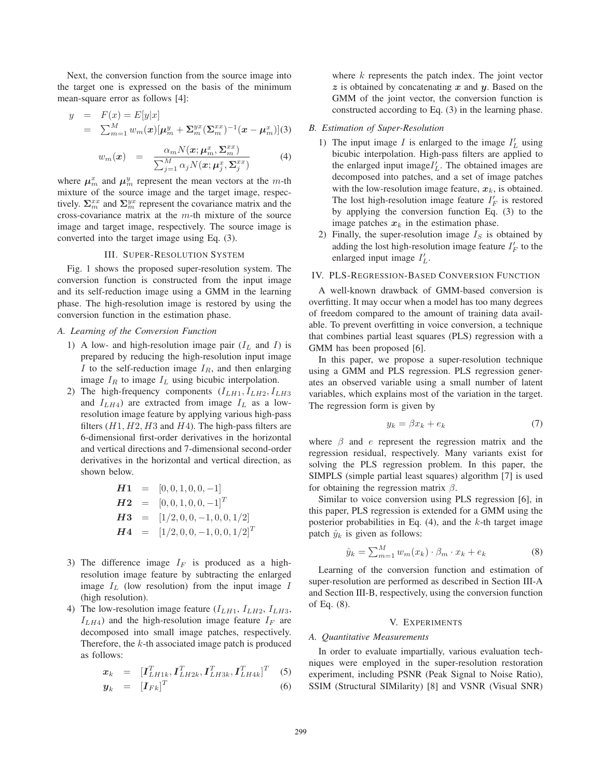Next, the conversion function from the source image into the target one is expressed on the basis of the minimum mean-square error as follows [4]:

$$
y = F(x) = E[y|x]
$$
  
=  $\sum_{m=1}^{M} w_m(x) [\mu_m^y + \Sigma_m^{yx} (\Sigma_m^{xx})^{-1} (x - \mu_m^x)](3)$ 

$$
w_m(\boldsymbol{x}) = \frac{\alpha_m N(\boldsymbol{x}; \boldsymbol{\mu}_m^x, \boldsymbol{\Sigma}_m^{xx})}{\sum_{j=1}^M \alpha_j N(\boldsymbol{x}; \boldsymbol{\mu}_j^x, \boldsymbol{\Sigma}_j^{xx})}
$$
(4)

where  $\mu_m^x$  and  $\mu_m^y$  represent the mean vectors at the m-th mixture of the source image and the target image, respectively.  $\Sigma_m^{xx}$  and  $\Sigma_m^{yx}$  represent the covariance matrix and the cross-covariance matrix at the  $m$ -th mixture of the source image and target image, respectively. The source image is converted into the target image using Eq. (3).

# III. SUPER-RESOLUTION SYSTEM

Fig. 1 shows the proposed super-resolution system. The conversion function is constructed from the input image and its self-reduction image using a GMM in the learning phase. The high-resolution image is restored by using the conversion function in the estimation phase.

#### *A. Learning of the Conversion Function*

- 1) A low- and high-resolution image pair  $(I_L$  and  $I)$  is prepared by reducing the high-resolution input image I to the self-reduction image  $I_R$ , and then enlarging image  $I_R$  to image  $I_L$  using bicubic interpolation.
- 2) The high-frequency components  $(I_{LH1}, I_{LH2}, I_{LH3})$ and  $I_{LH4}$ ) are extracted from image  $I_L$  as a lowresolution image feature by applying various high-pass filters  $(H1, H2, H3$  and  $H4$ ). The high-pass filters are 6-dimensional first-order derivatives in the horizontal and vertical directions and 7-dimensional second-order derivatives in the horizontal and vertical direction, as shown below.

$$
H1 = [0, 0, 1, 0, 0, -1]
$$
  
\n
$$
H2 = [0, 0, 1, 0, 0, -1]^T
$$
  
\n
$$
H3 = [1/2, 0, 0, -1, 0, 0, 1/2]
$$
  
\n
$$
H4 = [1/2, 0, 0, -1, 0, 0, 1/2]^T
$$

- 3) The difference image  $I_F$  is produced as a highresolution image feature by subtracting the enlarged image  $I_L$  (low resolution) from the input image  $I$ (high resolution).
- 4) The low-resolution image feature  $(I_{LH1}, I_{LH2}, I_{LH3}, I_{LH4})$  $I_{LH4}$ ) and the high-resolution image feature  $I_F$  are decomposed into small image patches, respectively. Therefore, the k-th associated image patch is produced as follows:

$$
\boldsymbol{x}_k \quad = \quad [\boldsymbol{I}_{LH1k}^T, \boldsymbol{I}_{LH2k}^T, \boldsymbol{I}_{LH3k}^T, \boldsymbol{I}_{LH4k}^T]^T \quad (5)
$$

$$
\mathbf{y}_k = [I_{Fk}]^T \tag{6}
$$

where  $k$  represents the patch index. The joint vector *z* is obtained by concatenating *x* and *y*. Based on the GMM of the joint vector, the conversion function is constructed according to Eq. (3) in the learning phase.

#### *B. Estimation of Super-Resolution*

- 1) The input image  $I$  is enlarged to the image  $I'_L$  using bicubic interpolation. High-pass filters are applied to the enlarged input image $I'_L$ . The obtained images are decomposed into patches, and a set of image patches with the low-resolution image feature,  $x_k$ , is obtained. The lost high-resolution image feature  $I'_F$  is restored by applying the conversion function Eq. (3) to the image patches  $x_k$  in the estimation phase.
- 2) Finally, the super-resolution image  $I<sub>S</sub>$  is obtained by adding the lost high-resolution image feature  $I'_F$  to the enlarged input image  $I'_L$ .

# IV. PLS-REGRESSION-BASED CONVERSION FUNCTION

A well-known drawback of GMM-based conversion is overfitting. It may occur when a model has too many degrees of freedom compared to the amount of training data available. To prevent overfitting in voice conversion, a technique that combines partial least squares (PLS) regression with a GMM has been proposed [6].

In this paper, we propose a super-resolution technique using a GMM and PLS regression. PLS regression generates an observed variable using a small number of latent variables, which explains most of the variation in the target. The regression form is given by

$$
y_k = \beta x_k + e_k \tag{7}
$$

where  $\beta$  and e represent the regression matrix and the regression residual, respectively. Many variants exist for solving the PLS regression problem. In this paper, the SIMPLS (simple partial least squares) algorithm [7] is used for obtaining the regression matrix  $\beta$ .

Similar to voice conversion using PLS regression [6], in this paper, PLS regression is extended for a GMM using the posterior probabilities in Eq.  $(4)$ , and the k-th target image patch  $\hat{y}_k$  is given as follows:

$$
\hat{y}_k = \sum_{m=1}^{M} w_m(x_k) \cdot \beta_m \cdot x_k + e_k \tag{8}
$$

Learning of the conversion function and estimation of super-resolution are performed as described in Section III-A and Section III-B, respectively, using the conversion function of Eq. (8).

# V. EXPERIMENTS

#### *A. Quantitative Measurements*

In order to evaluate impartially, various evaluation techniques were employed in the super-resolution restoration experiment, including PSNR (Peak Signal to Noise Ratio), SSIM (Structural SIMilarity) [8] and VSNR (Visual SNR)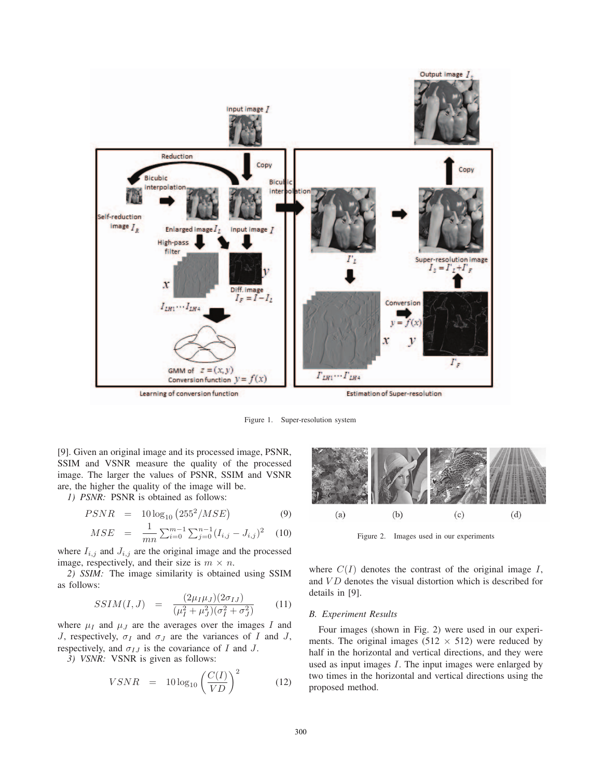

Figure 1. Super-resolution system

[9]. Given an original image and its processed image, PSNR, SSIM and VSNR measure the quality of the processed image. The larger the values of PSNR, SSIM and VSNR are, the higher the quality of the image will be.

*1) PSNR:* PSNR is obtained as follows:

$$
PSNR = 10 \log_{10} (255^2 / MSE) \tag{9}
$$

$$
MSE = \frac{1}{mn} \sum_{i=0}^{m-1} \sum_{j=0}^{n-1} (I_{i,j} - J_{i,j})^2
$$
 (10)

where  $I_{i,j}$  and  $J_{i,j}$  are the original image and the processed image, respectively, and their size is  $m \times n$ .

*2) SSIM:* The image similarity is obtained using SSIM as follows:

$$
SSIM(I,J) = \frac{(2\mu_I\mu_J)(2\sigma_{IJ})}{(\mu_I^2 + \mu_J^2)(\sigma_I^2 + \sigma_J^2)}
$$
(11)

where  $\mu_I$  and  $\mu_J$  are the averages over the images I and J, respectively,  $\sigma_I$  and  $\sigma_J$  are the variances of I and J, respectively, and  $\sigma_{IJ}$  is the covariance of I and J.

*3) VSNR:* VSNR is given as follows:

$$
VSNR = 10 \log_{10} \left( \frac{C(I)}{VD} \right)^2 \tag{12}
$$



Figure 2. Images used in our experiments

where  $C(I)$  denotes the contrast of the original image I, and  $VD$  denotes the visual distortion which is described for details in [9].

# *B. Experiment Results*

Four images (shown in Fig. 2) were used in our experiments. The original images (512  $\times$  512) were reduced by half in the horizontal and vertical directions, and they were used as input images  $I$ . The input images were enlarged by two times in the horizontal and vertical directions using the proposed method.